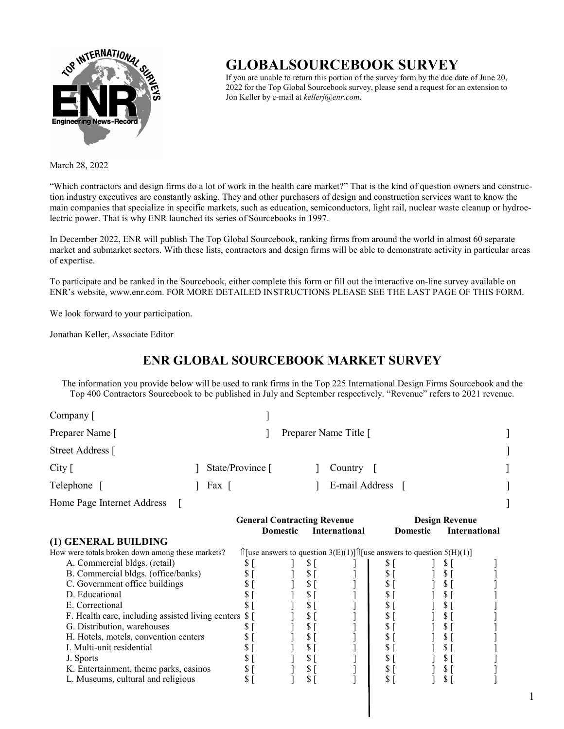

# **GLOBALSOURCEBOOK SURVEY**

If you are unable to return this portion of the survey form by the due date of June 20, 2022 for the Top Global Sourcebook survey, please send a request for an extension to Jon Keller by e-mail at *kellerj@enr.com*.

March 28, 2022

"Which contractors and design firms do a lot of work in the health care market?" That is the kind of question owners and construction industry executives are constantly asking. They and other purchasers of design and construction services want to know the main companies that specialize in specific markets, such as education, semiconductors, light rail, nuclear waste cleanup or hydroelectric power. That is why ENR launched its series of Sourcebooks in 1997.

In December 2022, ENR will publish The Top Global Sourcebook, ranking firms from around the world in almost 60 separate market and submarket sectors. With these lists, contractors and design firms will be able to demonstrate activity in particular areas of expertise.

To participate and be ranked in the Sourcebook, either complete this form or fill out the interactive on-line survey available on ENR's website, www.enr.com. FOR MORE DETAILED INSTRUCTIONS PLEASE SEE THE LAST PAGE OF THIS FORM.

We look forward to your participation.

Jonathan Keller, Associate Editor

### **ENR GLOBAL SOURCEBOOK MARKET SURVEY**

The information you provide below will be used to rank firms in the Top 225 International Design Firms Sourcebook and the Top 400 Contractors Sourcebook to be published in July and September respectively. "Revenue" refers to 2021 revenue.

| Company [                                            |                                                             |                |                 |               |                                                                                             |                |                 |               |                      |
|------------------------------------------------------|-------------------------------------------------------------|----------------|-----------------|---------------|---------------------------------------------------------------------------------------------|----------------|-----------------|---------------|----------------------|
| Preparer Name [                                      | Preparer Name Title [                                       |                |                 |               |                                                                                             |                |                 |               |                      |
| Street Address [                                     |                                                             |                |                 |               |                                                                                             |                |                 |               |                      |
| City $\lceil$                                        | State/Province [                                            |                |                 |               | Country                                                                                     |                |                 |               |                      |
| Telephone [                                          | E-mail Address<br>Fax [                                     |                |                 |               |                                                                                             |                |                 |               |                      |
| Home Page Internet Address                           |                                                             |                |                 |               |                                                                                             |                |                 |               |                      |
|                                                      | <b>General Contracting Revenue</b><br><b>Design Revenue</b> |                |                 |               |                                                                                             |                |                 |               |                      |
| (1) GENERAL BUILDING                                 |                                                             |                | <b>Domestic</b> |               | <b>International</b>                                                                        |                | <b>Domestic</b> |               | <b>International</b> |
| How were totals broken down among these markets?     |                                                             |                |                 |               | $\hat{\Pi}$ [use answers to question 3(E)(1)] $\hat{\Pi}$ [use answers to question 5(H)(1)] |                |                 |               |                      |
| A. Commercial bldgs. (retail)                        |                                                             | \$[            |                 | \$[           |                                                                                             | \$[            |                 | \$[           |                      |
|                                                      |                                                             | \$             |                 | \$            |                                                                                             | \$             |                 | S             |                      |
| B. Commercial bldgs. (office/banks)                  |                                                             |                |                 |               |                                                                                             |                |                 |               |                      |
| C. Government office buildings                       |                                                             | \$             |                 | \$[           |                                                                                             | \$             |                 | $\frac{1}{2}$ |                      |
| D. Educational                                       |                                                             | \$             |                 | $\frac{1}{2}$ |                                                                                             | \$             |                 | S             |                      |
| E. Correctional                                      |                                                             | \$             |                 | $\frac{1}{2}$ |                                                                                             | \$             |                 | $\frac{1}{2}$ |                      |
| F. Health care, including assisted living centers \$ |                                                             |                |                 | $\frac{1}{2}$ |                                                                                             | \$             |                 | $\frac{1}{2}$ |                      |
| G. Distribution, warehouses                          |                                                             | \$             |                 | $$$ [         |                                                                                             | \$             |                 | $\frac{1}{2}$ |                      |
| H. Hotels, motels, convention centers                |                                                             | \$             |                 | $\frac{1}{2}$ |                                                                                             | \$             |                 | $\frac{1}{2}$ |                      |
| I. Multi-unit residential                            |                                                             | \$             |                 | \$1           |                                                                                             | \$             |                 | $\frac{1}{2}$ |                      |
| J. Sports                                            |                                                             | \$             |                 | \$[           |                                                                                             | \$             |                 | $\frac{1}{2}$ |                      |
| K. Entertainment, theme parks, casinos               |                                                             | \$             |                 | \$[           |                                                                                             | $\mathbb{S}^-$ |                 | \$[           |                      |
| L. Museums, cultural and religious                   |                                                             | $\mathbb{S}^-$ |                 | $\frac{1}{2}$ |                                                                                             | \$             |                 | S             |                      |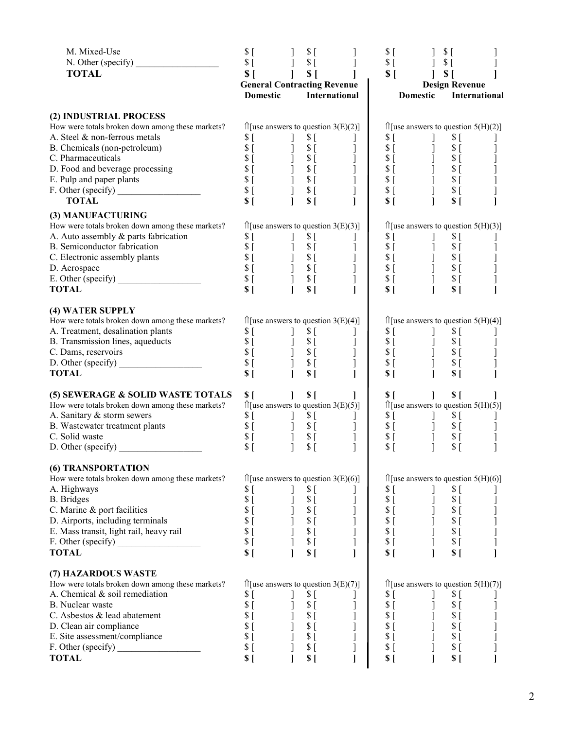| M. Mixed-Use                                                                        | \$[                   | \$[                                                                                                                                                                                                                                                                                                                                                                     |                                                     | $$^{[}$                   | $$^{[}$                                                                                                                                                                                                                                                                                                                         |                                             |
|-------------------------------------------------------------------------------------|-----------------------|-------------------------------------------------------------------------------------------------------------------------------------------------------------------------------------------------------------------------------------------------------------------------------------------------------------------------------------------------------------------------|-----------------------------------------------------|---------------------------|---------------------------------------------------------------------------------------------------------------------------------------------------------------------------------------------------------------------------------------------------------------------------------------------------------------------------------|---------------------------------------------|
| N. Other (specify) $\frac{1}{\sqrt{1-\frac{1}{2}}}\left  \frac{f(x)}{f(x)} \right $ | $S_{\Box}$            | $S_{\Gamma}$<br>$\sim$ $\sim$ $\sim$ $\sim$                                                                                                                                                                                                                                                                                                                             | $\mathbf{I}$                                        | $\Im$ [                   | $\frac{1}{2}$ \$ [                                                                                                                                                                                                                                                                                                              |                                             |
| <b>TOTAL</b>                                                                        | S <sub>1</sub>        | $\sim$ 1.<br>S <sub>1</sub>                                                                                                                                                                                                                                                                                                                                             | <b>General Contracting Revenue</b>                  | $S$ [                     | S <sub>1</sub><br>$\mathbf{I}$<br><b>Design Revenue</b>                                                                                                                                                                                                                                                                         |                                             |
|                                                                                     | <b>Domestic</b>       |                                                                                                                                                                                                                                                                                                                                                                         | International                                       |                           | Domestic                                                                                                                                                                                                                                                                                                                        | <b>International</b>                        |
|                                                                                     |                       |                                                                                                                                                                                                                                                                                                                                                                         |                                                     |                           |                                                                                                                                                                                                                                                                                                                                 |                                             |
| (2) INDUSTRIAL PROCESS                                                              |                       |                                                                                                                                                                                                                                                                                                                                                                         |                                                     |                           |                                                                                                                                                                                                                                                                                                                                 |                                             |
| How were totals broken down among these markets?                                    |                       |                                                                                                                                                                                                                                                                                                                                                                         | $\hat{\Pi}$ [use answers to question 3(E)(2)]       |                           | $\mathcal{L}$ [use answers to question 5(H)(2)]                                                                                                                                                                                                                                                                                 |                                             |
| A. Steel & non-ferrous metals                                                       | \$[                   | \$[                                                                                                                                                                                                                                                                                                                                                                     |                                                     | \$[                       | \$[                                                                                                                                                                                                                                                                                                                             |                                             |
| B. Chemicals (non-petroleum)                                                        |                       |                                                                                                                                                                                                                                                                                                                                                                         |                                                     |                           | $S_{\Gamma}$                                                                                                                                                                                                                                                                                                                    |                                             |
| C. Pharmaceuticals                                                                  |                       | $\begin{array}{ccc} \texttt{s} & \texttt{i} & \texttt{j} & \texttt{s} & \texttt{r} \\ \texttt{s} & \texttt{j} & \texttt{s} & \texttt{j} & \texttt{s} \\ \texttt{s} & \texttt{j} & \texttt{s} & \texttt{j} & \texttt{s} \\ \texttt{s} & \texttt{i} & \texttt{j} & \texttt{s} & \texttt{i} \\ \texttt{s} & \texttt{i} & \texttt{j} & \texttt{s} & \texttt{i} \end{array}$ |                                                     |                           | $S_{\text{L}}$                                                                                                                                                                                                                                                                                                                  |                                             |
| D. Food and beverage processing                                                     |                       |                                                                                                                                                                                                                                                                                                                                                                         |                                                     |                           | $\begin{array}{c} \n\text{\$} \begin{bmatrix} \text{\$} \\ \text{\$} \end{bmatrix} \n\end{array}$                                                                                                                                                                                                                               |                                             |
| E. Pulp and paper plants<br>E. Pulp and paper plants<br>F. Other (specify)          |                       |                                                                                                                                                                                                                                                                                                                                                                         |                                                     |                           |                                                                                                                                                                                                                                                                                                                                 |                                             |
|                                                                                     |                       | $S$ [ ] $S$ [                                                                                                                                                                                                                                                                                                                                                           |                                                     |                           | $S_{\Gamma}$                                                                                                                                                                                                                                                                                                                    |                                             |
| <b>TOTAL</b>                                                                        | S <sub>1</sub>        | $\mathbf{L}$<br>S <sub>1</sub>                                                                                                                                                                                                                                                                                                                                          |                                                     | S <sub>1</sub>            | S <sub>1</sub>                                                                                                                                                                                                                                                                                                                  |                                             |
| (3) MANUFACTURING                                                                   |                       |                                                                                                                                                                                                                                                                                                                                                                         |                                                     |                           |                                                                                                                                                                                                                                                                                                                                 |                                             |
| How were totals broken down among these markets?                                    |                       |                                                                                                                                                                                                                                                                                                                                                                         | $\hat{\Pi}$ [use answers to question 3(E)(3)]       |                           | $\hat{I}$ [use answers to question 5(H)(3)]                                                                                                                                                                                                                                                                                     |                                             |
| A. Auto assembly & parts fabrication                                                | $S_{\Gamma}$          | \$[<br>$\mathbf{I}$                                                                                                                                                                                                                                                                                                                                                     | $\perp$                                             | \$[                       | \$[                                                                                                                                                                                                                                                                                                                             |                                             |
| B. Semiconductor fabrication                                                        |                       |                                                                                                                                                                                                                                                                                                                                                                         |                                                     |                           |                                                                                                                                                                                                                                                                                                                                 |                                             |
| C. Electronic assembly plants                                                       |                       |                                                                                                                                                                                                                                                                                                                                                                         |                                                     |                           |                                                                                                                                                                                                                                                                                                                                 |                                             |
| D. Aerospace<br>D. Aerospace<br>E. Other (specify) ______________________           |                       | $\begin{array}{c} 5 & 1 & 5 & 1 \\ 5 & 1 & 5 & 1 \\ 5 & 1 & 5 & 1 \\ 5 & 1 & 5 & 1 \\ 5 & 1 & 5 & 1 \\ \end{array}$                                                                                                                                                                                                                                                     |                                                     |                           | $\begin{array}{cccc} 5 & 1 & 3 & 5 & 5 \\ 5 & 1 & 5 & 5 & 5 \\ 5 & 1 & 5 & 5 & 5 \\ 5 & 1 & 5 & 5 & 5 \\ 5 & 1 & 5 & 5 & 5 \\ 5 & 1 & 5 & 5 & 5 \\ 5 & 1 & 5 & 5 & 5 \\ 5 & 1 & 5 & 5 & 5 \\ 5 & 1 & 5 & 5 & 5 \\ 5 & 1 & 5 & 5 & 5 \\ 5 & 1 & 5 & 5 & 5 \\ 5 & 1 & 5 & 5 & 5 \\ 5 & 1 & 5 & 5 & 5 \\ 5 & 1 & 5 & 5 & 5 \\ 5 &$ |                                             |
|                                                                                     |                       |                                                                                                                                                                                                                                                                                                                                                                         | $\begin{matrix} 1 \\ 1 \\ 1 \\ 1 \end{matrix}$      |                           |                                                                                                                                                                                                                                                                                                                                 |                                             |
| <b>TOTAL</b>                                                                        | S <sub>1</sub>        | S <sub>1</sub>                                                                                                                                                                                                                                                                                                                                                          |                                                     | \$I                       | S <sub>1</sub>                                                                                                                                                                                                                                                                                                                  |                                             |
| (4) WATER SUPPLY                                                                    |                       |                                                                                                                                                                                                                                                                                                                                                                         |                                                     |                           |                                                                                                                                                                                                                                                                                                                                 |                                             |
| How were totals broken down among these markets?                                    |                       |                                                                                                                                                                                                                                                                                                                                                                         |                                                     |                           | $\hat{\Pi}$ [use answers to question 5(H)(4)]                                                                                                                                                                                                                                                                                   |                                             |
| A. Treatment, desalination plants                                                   |                       |                                                                                                                                                                                                                                                                                                                                                                         |                                                     |                           |                                                                                                                                                                                                                                                                                                                                 |                                             |
| B. Transmission lines, aqueducts                                                    |                       |                                                                                                                                                                                                                                                                                                                                                                         |                                                     |                           |                                                                                                                                                                                                                                                                                                                                 |                                             |
| C. Dams, reservoirs                                                                 |                       |                                                                                                                                                                                                                                                                                                                                                                         |                                                     |                           |                                                                                                                                                                                                                                                                                                                                 |                                             |
|                                                                                     |                       |                                                                                                                                                                                                                                                                                                                                                                         |                                                     |                           |                                                                                                                                                                                                                                                                                                                                 |                                             |
| <b>TOTAL</b>                                                                        |                       |                                                                                                                                                                                                                                                                                                                                                                         |                                                     | S <sub>1</sub>            | S <sub>1</sub>                                                                                                                                                                                                                                                                                                                  |                                             |
|                                                                                     |                       |                                                                                                                                                                                                                                                                                                                                                                         |                                                     |                           |                                                                                                                                                                                                                                                                                                                                 |                                             |
| (5) SEWERAGE & SOLID WASTE TOTALS                                                   | S <sub>1</sub>        | S <sub>1</sub>                                                                                                                                                                                                                                                                                                                                                          |                                                     | S <sub>1</sub>            | $\mathbf{I}$<br>S <sub>1</sub>                                                                                                                                                                                                                                                                                                  |                                             |
| How were totals broken down among these markets?<br>A. Sanitary & storm sewers      |                       |                                                                                                                                                                                                                                                                                                                                                                         | $\hat{\parallel}$ [use answers to question 3(E)(5)] |                           | $\hat{\Pi}$ [use answers to question 5(H)(5)]                                                                                                                                                                                                                                                                                   |                                             |
| B. Wastewater treatment plants                                                      |                       |                                                                                                                                                                                                                                                                                                                                                                         |                                                     |                           |                                                                                                                                                                                                                                                                                                                                 |                                             |
| C. Solid waste                                                                      |                       |                                                                                                                                                                                                                                                                                                                                                                         |                                                     |                           | $\begin{array}{c} \n 8 \\ 8 \\ 1 \\ 9\n \end{array}$<br>$S_1$<br>$S_2$<br>$S_3$<br>$S_4$<br>$\left\vert \hat{1}\right\vert$<br>$S_{\lbrack}$                                                                                                                                                                                    |                                             |
| D. Other (specific)                                                                 | \$[                   | \$[                                                                                                                                                                                                                                                                                                                                                                     | $\mathbf{I}$                                        | $\sqrt{\ }$ [             | $\mathbf{I}$<br>\$[                                                                                                                                                                                                                                                                                                             |                                             |
|                                                                                     |                       |                                                                                                                                                                                                                                                                                                                                                                         |                                                     |                           |                                                                                                                                                                                                                                                                                                                                 |                                             |
| (6) TRANSPORTATION                                                                  |                       |                                                                                                                                                                                                                                                                                                                                                                         |                                                     |                           |                                                                                                                                                                                                                                                                                                                                 |                                             |
| How were totals broken down among these markets?                                    |                       |                                                                                                                                                                                                                                                                                                                                                                         | $\hat{\Pi}$ [use answers to question 3(E)(6)]       |                           | $\hat{\Pi}$ [use answers to question 5(H)(6)]                                                                                                                                                                                                                                                                                   |                                             |
| A. Highways                                                                         | \$[                   | \$[                                                                                                                                                                                                                                                                                                                                                                     | T                                                   | \$[                       | \$[<br>T                                                                                                                                                                                                                                                                                                                        |                                             |
| <b>B.</b> Bridges                                                                   | \$[                   | $$^{[}$                                                                                                                                                                                                                                                                                                                                                                 | ]                                                   | $S_{\Gamma}$              | \$[                                                                                                                                                                                                                                                                                                                             |                                             |
| C. Marine & port facilities                                                         | \$[                   | $S_{\lbrack}$                                                                                                                                                                                                                                                                                                                                                           |                                                     | $S_{\Gamma}$              | $S$ [                                                                                                                                                                                                                                                                                                                           |                                             |
| D. Airports, including terminals                                                    | $S_{\Gamma}$          | \$[                                                                                                                                                                                                                                                                                                                                                                     | ]                                                   | $S \Gamma$                | $\begin{matrix} 1 \\ 1 \end{matrix}$<br>$S_{\Gamma}$                                                                                                                                                                                                                                                                            | $\begin{bmatrix} 1 \\ 1 \\ 1 \end{bmatrix}$ |
| E. Mass transit, light rail, heavy rail                                             | \$[                   | \$[                                                                                                                                                                                                                                                                                                                                                                     | ]                                                   | $S_{\Gamma}$              | \$[                                                                                                                                                                                                                                                                                                                             |                                             |
| F. Other (specific)<br><b>TOTAL</b>                                                 | \$[<br>S <sub>1</sub> | \$[<br>S <sub>1</sub>                                                                                                                                                                                                                                                                                                                                                   | ]                                                   | $$^{[}$<br>S <sub>1</sub> | $\begin{array}{c} \end{array}$<br>$S_{\Gamma}$<br>S <sub>1</sub>                                                                                                                                                                                                                                                                |                                             |
|                                                                                     |                       |                                                                                                                                                                                                                                                                                                                                                                         |                                                     |                           |                                                                                                                                                                                                                                                                                                                                 |                                             |
| (7) HAZARDOUS WASTE                                                                 |                       |                                                                                                                                                                                                                                                                                                                                                                         |                                                     |                           |                                                                                                                                                                                                                                                                                                                                 |                                             |
| How were totals broken down among these markets?                                    |                       |                                                                                                                                                                                                                                                                                                                                                                         | $\hat{\parallel}$ [use answers to question 3(E)(7)] |                           | $\hat{I}$ [use answers to question 5(H)(7)]                                                                                                                                                                                                                                                                                     |                                             |
| A. Chemical & soil remediation                                                      | \$[                   | \$[                                                                                                                                                                                                                                                                                                                                                                     |                                                     | \$[                       | \$[                                                                                                                                                                                                                                                                                                                             |                                             |
| B. Nuclear waste                                                                    | \$[                   | $$^{[}$                                                                                                                                                                                                                                                                                                                                                                 |                                                     | $$^{[}$                   | $\sqrt{\ }$ [                                                                                                                                                                                                                                                                                                                   |                                             |
| C. Asbestos & lead abatement                                                        | \$[                   | \$[                                                                                                                                                                                                                                                                                                                                                                     |                                                     | $$^{[}$                   | \$[                                                                                                                                                                                                                                                                                                                             |                                             |
| D. Clean air compliance                                                             | \$[                   | \$[                                                                                                                                                                                                                                                                                                                                                                     |                                                     | $S \Gamma$                | \$[                                                                                                                                                                                                                                                                                                                             |                                             |
| E. Site assessment/compliance                                                       | \$[                   | ]<br>\$[                                                                                                                                                                                                                                                                                                                                                                |                                                     | \$[                       | $S_{\Gamma}$                                                                                                                                                                                                                                                                                                                    |                                             |
|                                                                                     | \$[                   | $$^{[}$                                                                                                                                                                                                                                                                                                                                                                 |                                                     | \$[                       | \$[                                                                                                                                                                                                                                                                                                                             |                                             |
| <b>TOTAL</b>                                                                        | S <sub>1</sub>        | S                                                                                                                                                                                                                                                                                                                                                                       |                                                     | S <sub>1</sub>            | $S \mid$                                                                                                                                                                                                                                                                                                                        |                                             |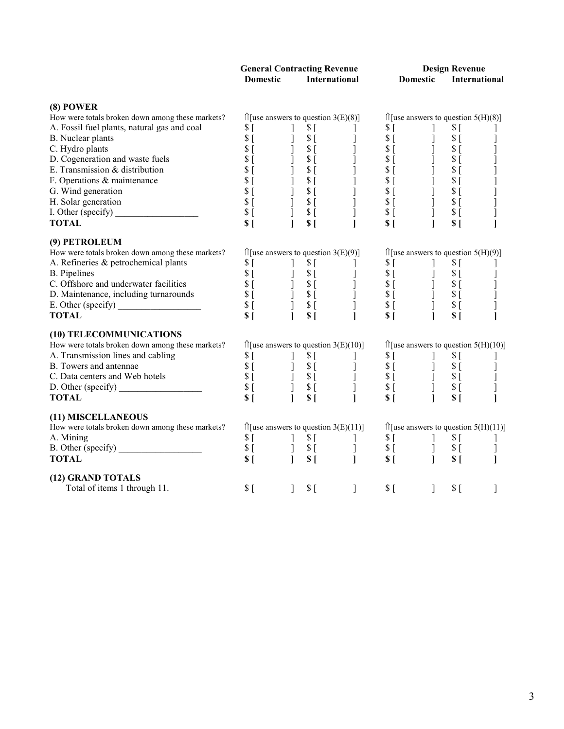|                 | <b>General Contracting Revenue</b> | <b>Design Revenue</b> |                      |  |  |  |
|-----------------|------------------------------------|-----------------------|----------------------|--|--|--|
| <b>Domestic</b> | International                      | Domestic              | <b>International</b> |  |  |  |

#### **(8) POWER**

| How were totals broken down among these markets?  | $\hat{\Pi}$ [use answers to question 3(E)(8)]<br>$\begin{array}{c cc} & \text{.on 3(b)}\\ \mathbf{5}\left[\begin{array}{cc} 1 & 0 \\ 0 & 0 \\ 0 & 0 \\ 0 & 0 \\ 0 & 0 \\ 0 & 0 \\ 0 & 0 \\ 0 & 0 \\ 0 & 0 \\ 0 & 0 \\ 0 & 0 \\ 0 & 0 \\ 0 & 0 \\ 0 & 0 \\ 0 & 0 \\ 0 & 0 \\ 0 & 0 \\ 0 & 0 \\ 0 & 0 \\ 0 & 0 \\ 0 & 0 \\ 0 & 0 \\ 0 & 0 \\ 0 & 0 \\ 0 & 0 \\ 0 & 0 \\ 0 & 0 \\ 0 & 0 \\ 0 & 0 \\ 0 & 0 \\ 0 & 0 \\$ |                                                                                                                                                                                                                                                                                                                                                                                                                                                                               | $\hat{\Pi}$ [use answers to question 5(H)(8)] |                                                                                                                                                                                                                                                                                      |                  |                                                          |  |  |
|---------------------------------------------------|---------------------------------------------------------------------------------------------------------------------------------------------------------------------------------------------------------------------------------------------------------------------------------------------------------------------------------------------------------------------------------------------------------------------|-------------------------------------------------------------------------------------------------------------------------------------------------------------------------------------------------------------------------------------------------------------------------------------------------------------------------------------------------------------------------------------------------------------------------------------------------------------------------------|-----------------------------------------------|--------------------------------------------------------------------------------------------------------------------------------------------------------------------------------------------------------------------------------------------------------------------------------------|------------------|----------------------------------------------------------|--|--|
| A. Fossil fuel plants, natural gas and coal       | $S_{\Gamma}$                                                                                                                                                                                                                                                                                                                                                                                                        | $\blacksquare$                                                                                                                                                                                                                                                                                                                                                                                                                                                                |                                               |                                                                                                                                                                                                                                                                                      | $\Box$           | \$[                                                      |  |  |
| B. Nuclear plants                                 | $\frac{\$}{\$}$ $\left[\right]$                                                                                                                                                                                                                                                                                                                                                                                     |                                                                                                                                                                                                                                                                                                                                                                                                                                                                               |                                               | $\begin{array}{c} 0.516 & 0.516 \\ 0.516 & 0.516 \\ 0.516 & 0.516 \\ 0.516 & 0.516 \\ 0.516 & 0.516 \\ 0.516 & 0.516 \\ 0.516 & 0.516 \\ 0.516 & 0.516 \\ 0.516 & 0.516 \\ 0.516 & 0.516 \\ 0.516 & 0.516 \\ 0.516 & 0.516 \\ 0.516 & 0.516 \\ 0.516 & 0.516 \\ 0.516 & 0.516 \\ 0.$ |                  | \$[                                                      |  |  |
| C. Hydro plants                                   |                                                                                                                                                                                                                                                                                                                                                                                                                     |                                                                                                                                                                                                                                                                                                                                                                                                                                                                               |                                               |                                                                                                                                                                                                                                                                                      |                  | $S_{\Gamma}$                                             |  |  |
| D. Cogeneration and waste fuels                   | \$[                                                                                                                                                                                                                                                                                                                                                                                                                 |                                                                                                                                                                                                                                                                                                                                                                                                                                                                               |                                               |                                                                                                                                                                                                                                                                                      |                  | $\sqrt{\ }$ [                                            |  |  |
| E. Transmission & distribution                    | \$[                                                                                                                                                                                                                                                                                                                                                                                                                 |                                                                                                                                                                                                                                                                                                                                                                                                                                                                               |                                               |                                                                                                                                                                                                                                                                                      |                  | $\sqrt{\ }$ [                                            |  |  |
| F. Operations & maintenance                       | \$[                                                                                                                                                                                                                                                                                                                                                                                                                 | $\begin{bmatrix} 1 \\ 1 \\ 1 \end{bmatrix}$                                                                                                                                                                                                                                                                                                                                                                                                                                   |                                               | $S$ [                                                                                                                                                                                                                                                                                | ]<br>]<br>]<br>] | $\sqrt{\ }$ [                                            |  |  |
| G. Wind generation                                | $\overline{\$}$ [                                                                                                                                                                                                                                                                                                                                                                                                   |                                                                                                                                                                                                                                                                                                                                                                                                                                                                               |                                               | $S_{\lbrack}$                                                                                                                                                                                                                                                                        |                  | \$[                                                      |  |  |
| H. Solar generation                               |                                                                                                                                                                                                                                                                                                                                                                                                                     |                                                                                                                                                                                                                                                                                                                                                                                                                                                                               |                                               | $\mathcal{S}$ [                                                                                                                                                                                                                                                                      |                  | \$[                                                      |  |  |
|                                                   |                                                                                                                                                                                                                                                                                                                                                                                                                     | $\begin{array}{ccc} \n 8 & 1 & 1 \\ \n 8 & 1 & 1 \\ \n 8 & 1 & 1 \n \end{array}$                                                                                                                                                                                                                                                                                                                                                                                              |                                               | $S$ [                                                                                                                                                                                                                                                                                |                  | $S_{\Gamma}$                                             |  |  |
| <b>TOTAL</b>                                      | S <sub>1</sub>                                                                                                                                                                                                                                                                                                                                                                                                      |                                                                                                                                                                                                                                                                                                                                                                                                                                                                               |                                               |                                                                                                                                                                                                                                                                                      | $\mathbf{I}$     | S <sub>1</sub>                                           |  |  |
| (9) PETROLEUM                                     |                                                                                                                                                                                                                                                                                                                                                                                                                     |                                                                                                                                                                                                                                                                                                                                                                                                                                                                               |                                               |                                                                                                                                                                                                                                                                                      |                  |                                                          |  |  |
| How were totals broken down among these markets?  |                                                                                                                                                                                                                                                                                                                                                                                                                     | $\hat{\Pi}$ [use answers to question 3(E)(9)]                                                                                                                                                                                                                                                                                                                                                                                                                                 |                                               |                                                                                                                                                                                                                                                                                      |                  | $\hat{\Pi}$ [use answers to question 5(H)(9)]            |  |  |
| A. Refineries & petrochemical plants              |                                                                                                                                                                                                                                                                                                                                                                                                                     |                                                                                                                                                                                                                                                                                                                                                                                                                                                                               |                                               |                                                                                                                                                                                                                                                                                      |                  |                                                          |  |  |
| <b>B.</b> Pipelines                               |                                                                                                                                                                                                                                                                                                                                                                                                                     |                                                                                                                                                                                                                                                                                                                                                                                                                                                                               |                                               |                                                                                                                                                                                                                                                                                      |                  |                                                          |  |  |
| C. Offshore and underwater facilities             |                                                                                                                                                                                                                                                                                                                                                                                                                     |                                                                                                                                                                                                                                                                                                                                                                                                                                                                               |                                               |                                                                                                                                                                                                                                                                                      |                  |                                                          |  |  |
| D. Maintenance, including turnarounds             |                                                                                                                                                                                                                                                                                                                                                                                                                     |                                                                                                                                                                                                                                                                                                                                                                                                                                                                               |                                               |                                                                                                                                                                                                                                                                                      |                  |                                                          |  |  |
|                                                   |                                                                                                                                                                                                                                                                                                                                                                                                                     | $\begin{array}{cccc} \mathbf{S} & [ & & ] & \mathbf{\hat{S}} \ [ & & & ] & \mathbf{\hat{S}} \ [ & & & ] & \mathbf{\hat{S}} \ [ & & & ] & \mathbf{\hat{S}} \ [ & & & ] & \mathbf{\hat{S}} \ [ & & & ] & \mathbf{\hat{S}} \ [ & & & ] & \mathbf{\hat{S}} \ [ & & & ] & \mathbf{\hat{S}} \ [ & & & ] & \mathbf{\hat{S}} \ [ & & & ] & \mathbf{\hat{S}} \ [ & & & ] & \mathbf{\hat{S}} \ [ & & & ] & \mathbf{\hat{S}} \ [ & & & ] & \mathbf{\hat{S}} \ [ & & & ] & \mathbf{\hat{$ |                                               |                                                                                                                                                                                                                                                                                      |                  | $\begin{array}{c}\n 8 \\ 8 \\ 1 \\ 5 \\ 6\n \end{array}$ |  |  |
| <b>TOTAL</b>                                      | S <sub>1</sub>                                                                                                                                                                                                                                                                                                                                                                                                      | S <sub>1</sub>                                                                                                                                                                                                                                                                                                                                                                                                                                                                | $\mathbf{I}$                                  | S <sub>1</sub>                                                                                                                                                                                                                                                                       |                  | S <sub>1</sub>                                           |  |  |
| (10) TELECOMMUNICATIONS                           |                                                                                                                                                                                                                                                                                                                                                                                                                     |                                                                                                                                                                                                                                                                                                                                                                                                                                                                               |                                               |                                                                                                                                                                                                                                                                                      |                  |                                                          |  |  |
| How were totals broken down among these markets?  |                                                                                                                                                                                                                                                                                                                                                                                                                     | $\hat{\Pi}$ [use answers to question 3(E)(10)]                                                                                                                                                                                                                                                                                                                                                                                                                                |                                               | $\hat{I}$ [use answers to question 5(H)(10)]                                                                                                                                                                                                                                         |                  |                                                          |  |  |
| A. Transmission lines and cabling                 |                                                                                                                                                                                                                                                                                                                                                                                                                     |                                                                                                                                                                                                                                                                                                                                                                                                                                                                               |                                               |                                                                                                                                                                                                                                                                                      |                  |                                                          |  |  |
| B. Towers and antennae                            |                                                                                                                                                                                                                                                                                                                                                                                                                     |                                                                                                                                                                                                                                                                                                                                                                                                                                                                               |                                               |                                                                                                                                                                                                                                                                                      |                  |                                                          |  |  |
| C. Data centers and Web hotels                    |                                                                                                                                                                                                                                                                                                                                                                                                                     |                                                                                                                                                                                                                                                                                                                                                                                                                                                                               |                                               |                                                                                                                                                                                                                                                                                      |                  |                                                          |  |  |
| D. Other (specify) $\_\_\_\_\_\_\_\_\_\_\_\_\_\_$ |                                                                                                                                                                                                                                                                                                                                                                                                                     |                                                                                                                                                                                                                                                                                                                                                                                                                                                                               |                                               |                                                                                                                                                                                                                                                                                      |                  |                                                          |  |  |
| <b>TOTAL</b>                                      |                                                                                                                                                                                                                                                                                                                                                                                                                     |                                                                                                                                                                                                                                                                                                                                                                                                                                                                               |                                               |                                                                                                                                                                                                                                                                                      |                  |                                                          |  |  |
| (11) MISCELLANEOUS                                |                                                                                                                                                                                                                                                                                                                                                                                                                     |                                                                                                                                                                                                                                                                                                                                                                                                                                                                               |                                               |                                                                                                                                                                                                                                                                                      |                  |                                                          |  |  |
| How were totals broken down among these markets?  | $\hat{\Pi}$ [use answers to question 3(E)(11)]                                                                                                                                                                                                                                                                                                                                                                      |                                                                                                                                                                                                                                                                                                                                                                                                                                                                               |                                               | $\hat{\Pi}$ [use answers to question 5(H)(11)]                                                                                                                                                                                                                                       |                  |                                                          |  |  |
| A. Mining                                         |                                                                                                                                                                                                                                                                                                                                                                                                                     |                                                                                                                                                                                                                                                                                                                                                                                                                                                                               |                                               |                                                                                                                                                                                                                                                                                      |                  |                                                          |  |  |
|                                                   |                                                                                                                                                                                                                                                                                                                                                                                                                     |                                                                                                                                                                                                                                                                                                                                                                                                                                                                               |                                               |                                                                                                                                                                                                                                                                                      |                  |                                                          |  |  |
| <b>TOTAL</b>                                      |                                                                                                                                                                                                                                                                                                                                                                                                                     | $\begin{array}{ccccc}\nS & & & & & \S & & & & \S & & & & \S & & & & \S & & & & \S & & & & \S & & & & \S & & & & \S & & & & \S & & & & \S & & & & \S & & & & \S & & & & \S & & & & \S & & & & \S & & & & \S & & & & \S & & & & \S & & & & \S & & & & \S & & & & \S & & & & \S & & & & \S & & & & \S & & & & \S & & & & \S & & & & \S & & & & \S & & & & \S & & & & \S & & & & \S & & & & \S & & & & \S & & & & \S & & & & \$                                                   |                                               | $\begin{array}{c} $S \rhd 1$ & $S \rhd 3$ \\ $S \rhd 1$ & $S \rhd 3$ \\ $S \rhd 1$ & $S \rhd 3$ \\ \end{array}$                                                                                                                                                                      |                  |                                                          |  |  |
| (12) GRAND TOTALS                                 |                                                                                                                                                                                                                                                                                                                                                                                                                     |                                                                                                                                                                                                                                                                                                                                                                                                                                                                               |                                               |                                                                                                                                                                                                                                                                                      |                  |                                                          |  |  |
| Total of items 1 through 11.                      | \$[                                                                                                                                                                                                                                                                                                                                                                                                                 | $\mathbf{1}$<br>$S_{\Gamma}$                                                                                                                                                                                                                                                                                                                                                                                                                                                  | $\mathbf{I}$                                  | $$^{[}$                                                                                                                                                                                                                                                                              | $\blacksquare$   | S <sub>1</sub>                                           |  |  |